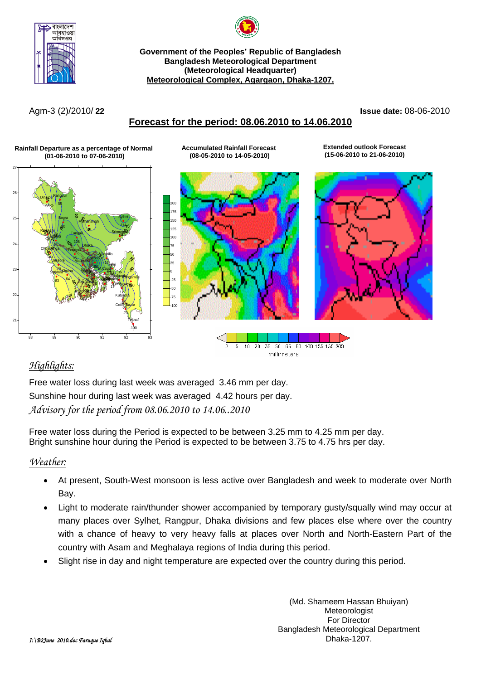



**Government of the Peoples' Republic of Bangladesh Bangladesh Meteorological Department (Meteorological Headquarter) Meteorological Complex, Agargaon, Dhaka-1207.**

Agm-3 (2)/2010/ **22 Issue date:** 08-06-2010

# **Forecast for the period: 08.06.2010 to 14.06.2010**

**Accumulated Rainfall Forecast (08-05-2010 to 14-05-2010)**

### **Rainfall Departure as a percentage of Normal (01-06-2010 to 07-06-2010)** 26 27 Dinajpur Rangpur





**Extended outlook Forecast (15-06-2010 to 21-06-2010)**



35 50 65 80 100 125 150 200  $\overline{2}$ 5  $10<sub>1</sub>$ 20 millimeters

# *Highlights:*

Free water loss during last week was averaged 3.46 mm per day. Sunshine hour during last week was averaged 4.42 hours per day. *Advisory for the period from 08.06.2010 to 14.06..2010*

Free water loss during the Period is expected to be between 3.25 mm to 4.25 mm per day. Bright sunshine hour during the Period is expected to be between 3.75 to 4.75 hrs per day.

# *Weather:*

- At present, South-West monsoon is less active over Bangladesh and week to moderate over North Bay.
- Light to moderate rain/thunder shower accompanied by temporary gusty/squally wind may occur at many places over Sylhet, Rangpur, Dhaka divisions and few places else where over the country with a chance of heavy to very heavy falls at places over North and North-Eastern Part of the country with Asam and Meghalaya regions of India during this period.
- Slight rise in day and night temperature are expected over the country during this period.

(Md. Shameem Hassan Bhuiyan) Meteorologist For Director Bangladesh Meteorological Department Dhaka-1207.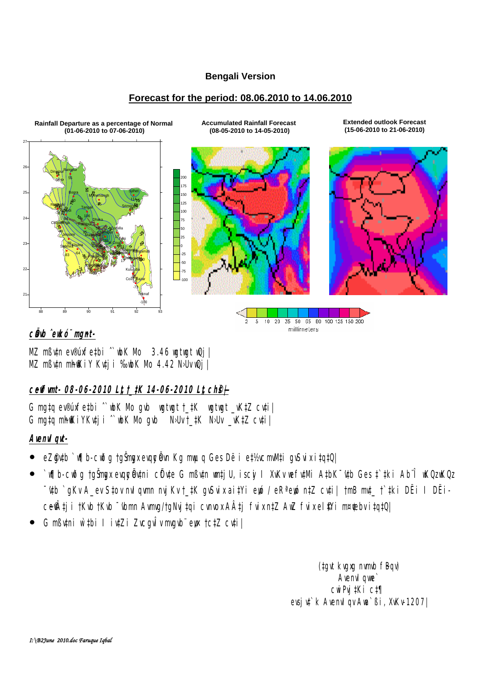#### **Bengali Version**

#### **Forecast for the period: 08.06.2010 to 14.06.2010**



#### c**Ö**b ̂ekó¨ mmt-

MZ mßv‡n ev®úxfe‡bi ˆ`wbK Mo 3.46 wgtwgt wQj| MZ mßutn mhokiy Kuti i ‰bK Nb 4.42 NJuvQj |

## **c~e©vfvmt- 08-06-2010 L"t †\_‡K 14-06-2010 L"t ch©š—|**

G mg‡q ev®úxfe‡bi ^`wbK Mb gvb wgtwgt †\_#K wgtwgt \_vK‡Z cv‡i| G mata mh@kiYKvtii ^`wbK Nb avb No Uvt\_tK No Uv \_vKtZ cvtil

#### **AvenvIqvt-**

- eZ@db`v¶b-cwðg †gŠmyxevqyeÖvn Kg myuq Ges Dë i e‡½cmlVti gvSvix i‡q‡Q|
- `v∏b-cwða †gŠmax evqueÖytni cÖyte G mßytn wntiU, iscý I XvKv wefytNi A#bK¯'vtb Ges ‡`#ki Ab¨Î wKQz wKQz **~'db `gKv A\_ev S‡ov nvI gym nvjKv †\_‡K gySvix ai‡Yi ewó / eRªewó n‡Z cyti| †mB mrt\_ †`#ki DËi I DËi**ceŴtji †Kvb †Kvb <sup>–</sup> vbmn Avma/†gNvj‡qi cvnvox AÂtj fvix n‡Z AwZ fvix el\$?i m¤¢ebv i‡q‡Q|
- G mßutni w`#bi I iutZi Zucgultungub eye †c‡Z cu‡i|

(tgvt kvgxg nvmb fBqv) **Avenvil que**  cwiPvj‡Ki c‡¶ evsju<sup>t</sup>k AvenuIqv Aua`ßi, XvKv-1207|